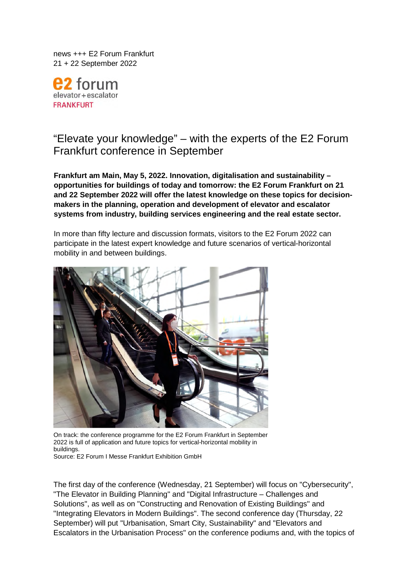news +++ E2 Forum Frankfurt 21 + 22 September 2022

torum elevator+escalator **FRANKFURT** 

# "Elevate your knowledge" – with the experts of the E2 Forum Frankfurt conference in September

**Frankfurt am Main, May 5, 2022. Innovation, digitalisation and sustainability – opportunities for buildings of today and tomorrow: the E2 Forum Frankfurt on 21 and 22 September 2022 will offer the latest knowledge on these topics for decisionmakers in the planning, operation and development of elevator and escalator systems from industry, building services engineering and the real estate sector.** 

In more than fifty lecture and discussion formats, visitors to the E2 Forum 2022 can participate in the latest expert knowledge and future scenarios of vertical-horizontal mobility in and between buildings.



On track: the conference programme for the E2 Forum Frankfurt in September 2022 is full of application and future topics for vertical-horizontal mobility in buildings.

Source: E2 Forum I Messe Frankfurt Exhibition GmbH

The first day of the conference (Wednesday, 21 September) will focus on "Cybersecurity", "The Elevator in Building Planning" and "Digital Infrastructure – Challenges and Solutions", as well as on "Constructing and Renovation of Existing Buildings" and "Integrating Elevators in Modern Buildings". The second conference day (Thursday, 22 September) will put "Urbanisation, Smart City, Sustainability" and "Elevators and Escalators in the Urbanisation Process" on the conference podiums and, with the topics of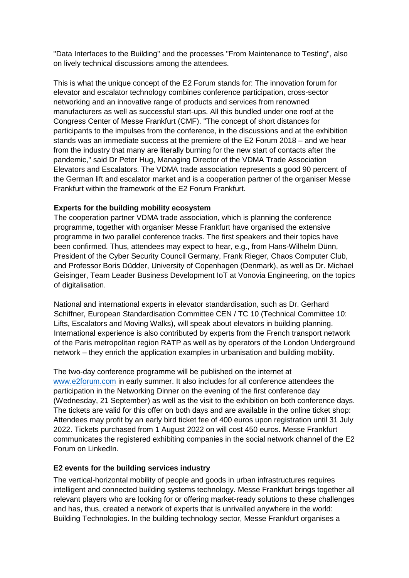"Data Interfaces to the Building" and the processes "From Maintenance to Testing", also on lively technical discussions among the attendees.

This is what the unique concept of the E2 Forum stands for: The innovation forum for elevator and escalator technology combines conference participation, cross-sector networking and an innovative range of products and services from renowned manufacturers as well as successful start-ups. All this bundled under one roof at the Congress Center of Messe Frankfurt (CMF). "The concept of short distances for participants to the impulses from the conference, in the discussions and at the exhibition stands was an immediate success at the premiere of the E2 Forum 2018 – and we hear from the industry that many are literally burning for the new start of contacts after the pandemic," said Dr Peter Hug, Managing Director of the VDMA Trade Association Elevators and Escalators. The VDMA trade association represents a good 90 percent of the German lift and escalator market and is a cooperation partner of the organiser Messe Frankfurt within the framework of the E2 Forum Frankfurt.

## **Experts for the building mobility ecosystem**

The cooperation partner VDMA trade association, which is planning the conference programme, together with organiser Messe Frankfurt have organised the extensive programme in two parallel conference tracks. The first speakers and their topics have been confirmed. Thus, attendees may expect to hear, e.g., from Hans-Wilhelm Dünn, President of the Cyber Security Council Germany, Frank Rieger, Chaos Computer Club, and Professor Boris Düdder, University of Copenhagen (Denmark), as well as Dr. Michael Geisinger, Team Leader Business Development IoT at Vonovia Engineering, on the topics of digitalisation.

National and international experts in elevator standardisation, such as Dr. Gerhard Schiffner, European Standardisation Committee CEN / TC 10 (Technical Committee 10: Lifts, Escalators and Moving Walks), will speak about elevators in building planning. International experience is also contributed by experts from the French transport network of the Paris metropolitan region RATP as well as by operators of the London Underground network – they enrich the application examples in urbanisation and building mobility.

The two-day conference programme will be published on the internet at [www.e2forum.com](http://www.e2forum.com/) in early summer. It also includes for all conference attendees the participation in the Networking Dinner on the evening of the first conference day (Wednesday, 21 September) as well as the visit to the exhibition on both conference days. The tickets are valid for this offer on both days and are available in the online ticket shop: Attendees may profit by an early bird ticket fee of 400 euros upon registration until 31 July 2022. Tickets purchased from 1 August 2022 on will cost 450 euros. Messe Frankfurt communicates the registered exhibiting companies in the social network channel of the E2 Forum on LinkedIn.

## **E2 events for the building services industry**

The vertical-horizontal mobility of people and goods in urban infrastructures requires intelligent and connected building systems technology. Messe Frankfurt brings together all relevant players who are looking for or offering market-ready solutions to these challenges and has, thus, created a network of experts that is unrivalled anywhere in the world: Building Technologies. In the building technology sector, Messe Frankfurt organises a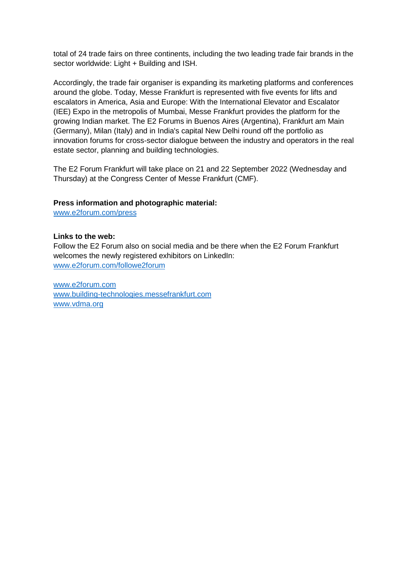total of 24 trade fairs on three continents, including the two leading trade fair brands in the sector worldwide: Light + Building and ISH.

Accordingly, the trade fair organiser is expanding its marketing platforms and conferences around the globe. Today, Messe Frankfurt is represented with five events for lifts and escalators in America, Asia and Europe: With the International Elevator and Escalator (IEE) Expo in the metropolis of Mumbai, Messe Frankfurt provides the platform for the growing Indian market. The E2 Forums in Buenos Aires (Argentina), Frankfurt am Main (Germany), Milan (Italy) and in India's capital New Delhi round off the portfolio as innovation forums for cross-sector dialogue between the industry and operators in the real estate sector, planning and building technologies.

The E2 Forum Frankfurt will take place on 21 and 22 September 2022 (Wednesday and Thursday) at the Congress Center of Messe Frankfurt (CMF).

## **Press information and photographic material:**

[www.e2forum.com/press](https://e2forum-frankfurt.messefrankfurt.com/frankfurt/en/presse.html)

#### **Links to the web:**

Follow the E2 Forum also on social media and be there when the E2 Forum Frankfurt welcomes the newly registered exhibitors on LinkedIn: [www.e2forum.com/followe2forum](http://www.e2forum.com/followe2forum)

[www.e2forum.com](http://www.e2forum.com/) [www.building-technologies.messefrankfurt.com](https://building-technologies.messefrankfurt.com/frankfurt/de.html)  [www.vdma.org](http://www.vdma.org/)